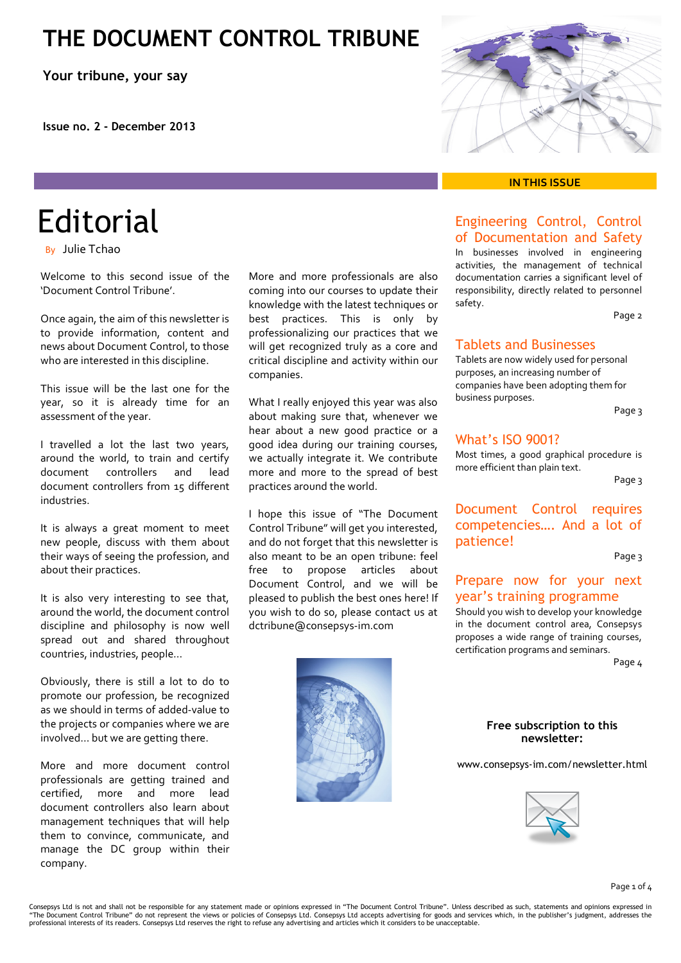# **THE DOCUMENT CONTROL TRIBUNE**

**Your tribune, your say**

**Issue no. 2 - December 2013**

# **Editorial**

By Julie Tchao

Welcome to this second issue of the 'Document Control Tribune'.

Once again, the aim of this newsletter is to provide information, content and news about Document Control, to those who are interested in this discipline.

This issue will be the last one for the year, so it is already time for an assessment of the year.

I travelled a lot the last two years, around the world, to train and certify document controllers and lead document controllers from 15 different industries.

It is always a great moment to meet new people, discuss with them about their ways of seeing the profession, and about their practices.

It is also very interesting to see that, around the world, the document control discipline and philosophy is now well spread out and shared throughout countries, industries, people…

Obviously, there is still a lot to do to promote our profession, be recognized as we should in terms of added-value to the projects or companies where we are involved… but we are getting there.

More and more document control professionals are getting trained and certified, more and more lead document controllers also learn about management techniques that will help them to convince, communicate, and manage the DC group within their company.

More and more professionals are also coming into our courses to update their knowledge with the latest techniques or best practices. This is only by professionalizing our practices that we will get recognized truly as a core and critical discipline and activity within our companies.

What I really enjoyed this year was also about making sure that, whenever we hear about a new good practice or a good idea during our training courses, we actually integrate it. We contribute more and more to the spread of best practices around the world.

I hope this issue of "The Document Control Tribune" will get you interested, and do not forget that this newsletter is also meant to be an open tribune: feel free to propose articles about Document Control, and we will be pleased to publish the best ones here! If you wish to do so, please contact us at dctribune@consepsys-im.com





#### **IN THIS ISSUE**

## Engineering Control, Control of Documentation and Safety

In businesses involved in engineering activities, the management of technical documentation carries a significant level of responsibility, directly related to personnel safety.

Page 2

## Tablets and Businesses

Tablets are now widely used for personal purposes, an increasing number of companies have been adopting them for business purposes.

Page 3

## What's ISO 9001?

Most times, a good graphical procedure is more efficient than plain text.

Page 3

## Document Control requires competencies…. And a lot of patience!

Page 3

### Prepare now for your next year's training programme

Should you wish to develop your knowledge in the document control area, Consepsys proposes a wide range of training courses, certification programs and seminars.

Page 4

#### **Free subscription to this newsletter:**

[www.consepsys-im.com/newsletter.html](http://www.consepsys-im.com/newsletter.html)



Consepsys Ltd is not and shall not be responsible for any statement made or opinions expressed in "The Document Control Tribune". Unless described as such, statements and opinions expressed in<br>"The Document Control Tribune professional interests of its readers. Consepsys Ltd reserves the right to refuse any advertising and articles which it considers to be unacceptable.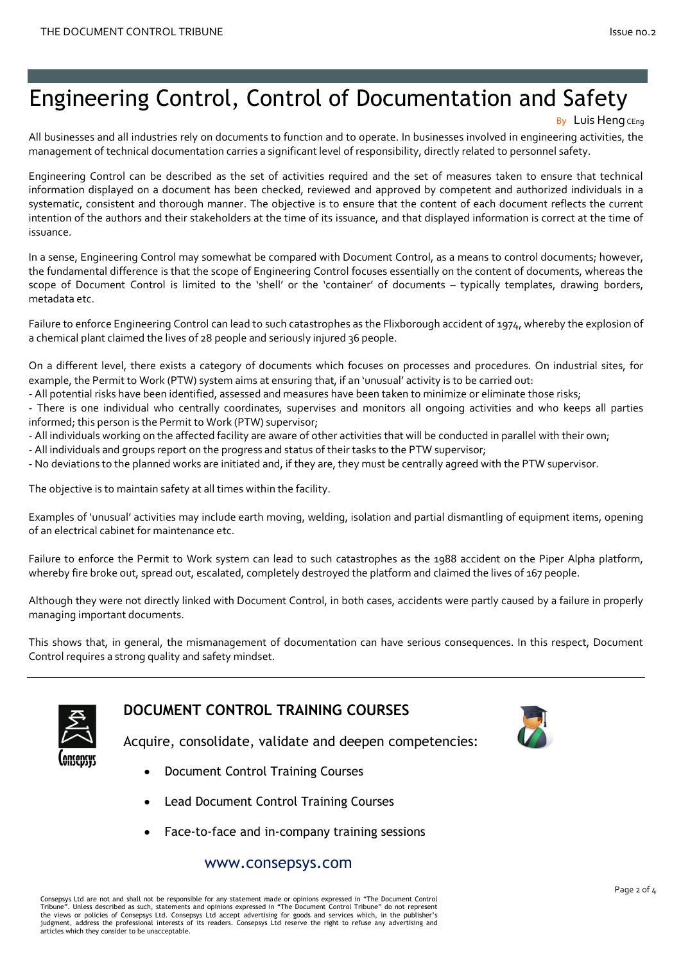# Engineering Control, Control of Documentation and Safety

All businesses and all industries rely on documents to function and to operate. In businesses involved in engineering activities, the management of technical documentation carries a significant level of responsibility, directly related to personnel safety.

Engineering Control can be described as the set of activities required and the set of measures taken to ensure that technical information displayed on a document has been checked, reviewed and approved by competent and authorized individuals in a systematic, consistent and thorough manner. The objective is to ensure that the content of each document reflects the current intention of the authors and their stakeholders at the time of its issuance, and that displayed information is correct at the time of issuance.

In a sense, Engineering Control may somewhat be compared with Document Control, as a means to control documents; however, the fundamental difference is that the scope of Engineering Control focuses essentially on the content of documents, whereas the scope of Document Control is limited to the 'shell' or the 'container' of documents – typically templates, drawing borders, metadata etc.

Failure to enforce Engineering Control can lead to such catastrophes as the Flixborough accident of 1974, whereby the explosion of a chemical plant claimed the lives of 28 people and seriously injured 36 people.

On a different level, there exists a category of documents which focuses on processes and procedures. On industrial sites, for example, the Permit to Work (PTW) system aims at ensuring that, if an 'unusual' activity is to be carried out:

- All potential risks have been identified, assessed and measures have been taken to minimize or eliminate those risks;

- There is one individual who centrally coordinates, supervises and monitors all ongoing activities and who keeps all parties informed; this person is the Permit to Work (PTW) supervisor;

- All individuals working on the affected facility are aware of other activities that will be conducted in parallel with their own;
- All individuals and groups report on the progress and status of their tasks to the PTW supervisor;
- No deviations to the planned works are initiated and, if they are, they must be centrally agreed with the PTW supervisor.

The objective is to maintain safety at all times within the facility.

Examples of 'unusual' activities may include earth moving, welding, isolation and partial dismantling of equipment items, opening of an electrical cabinet for maintenance etc.

Failure to enforce the Permit to Work system can lead to such catastrophes as the 1988 accident on the Piper Alpha platform, whereby fire broke out, spread out, escalated, completely destroyed the platform and claimed the lives of 167 people.

Although they were not directly linked with Document Control, in both cases, accidents were partly caused by a failure in properly managing important documents.

This shows that, in general, the mismanagement of documentation can have serious consequences. In this respect, Document Control requires a strong quality and safety mindset.



# **DOCUMENT CONTROL TRAINING COURSES**



Acquire, consolidate, validate and deepen competencies:

- Document Control Training Courses
- Lead Document Control Training Courses
- Face-to-face and in-company training sessions

## www.consepsys.com

Consepsys Ltd are not and shall not be responsible for any statement made or opinions expressed in "The Document Control Tribune". Unless described as such, statements and opinions expressed in "The Document Control Tribune" do not represent<br>the views or policies of Consepsys Ltd. Consepsys Ltd accept advertising for goods and services which judgment, address the professional interests of its readers. Consepsys Ltd reserve the right to refuse any advertising and articles which they consider to be unacceptable.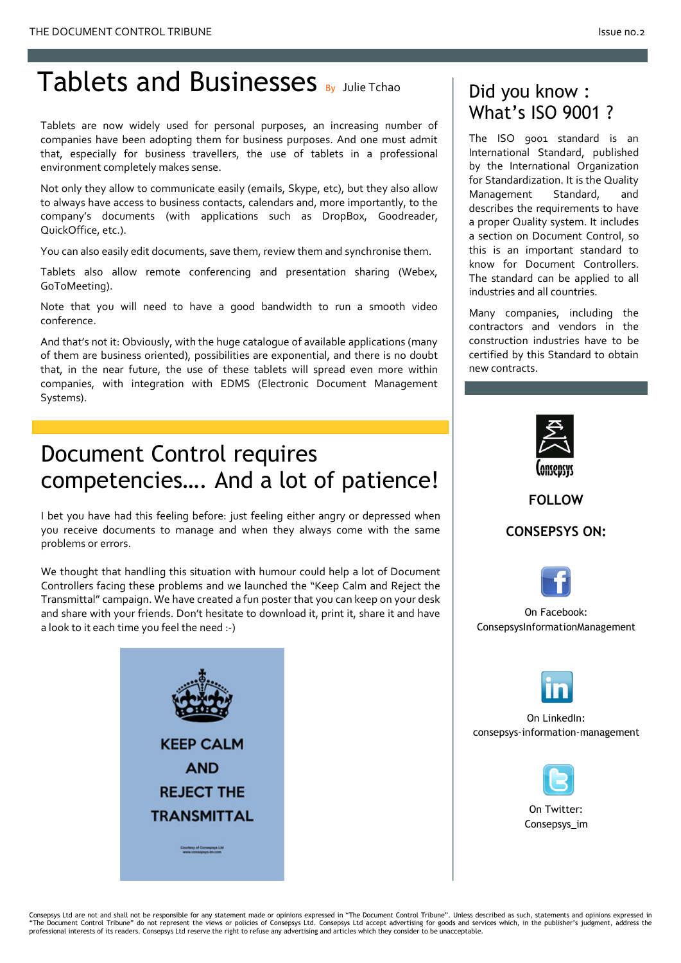# Tablets and Businesses By Julie Tchao

Tablets are now widely used for personal purposes, an increasing number of companies have been adopting them for business purposes. And one must admit that, especially for business travellers, the use of tablets in a professional environment completely makes sense.

Not only they allow to communicate easily (emails, Skype, etc), but they also allow to always have access to business contacts, calendars and, more importantly, to the company's documents (with applications such as DropBox, Goodreader, QuickOffice, etc.).

You can also easily edit documents, save them, review them and synchronise them.

Tablets also allow remote conferencing and presentation sharing (Webex, GoToMeeting).

Note that you will need to have a good bandwidth to run a smooth video conference.

And that's not it: Obviously, with the huge catalogue of available applications (many of them are business oriented), possibilities are exponential, and there is no doubt that, in the near future, the use of these tablets will spread even more within companies, with integration with EDMS (Electronic Document Management Systems).

# Document Control requires competencies…. And a lot of patience!

I bet you have had this feeling before: just feeling either angry or depressed when you receive documents to manage and when they always come with the same problems or errors.

We thought that handling this situation with humour could help a lot of Document Controllers facing these problems and we launched the "Keep Calm and Reject the Transmittal" campaign. We have created a fun poster that you can keep on your desk and share with your friends. Don't hesitate to download it, print it, share it and have a look to it each time you feel the need :-)



# Did you know : What's ISO 9001 ?

The ISO 9001 standard is an International Standard, published by the International Organization for Standardization. It is the Quality Management Standard, and describes the requirements to have a proper Quality system. It includes a section on Document Control, so this is an important standard to know for Document Controllers. The standard can be applied to all industries and all countries.

Many companies, including the contractors and vendors in the construction industries have to be certified by this Standard to obtain new contracts.



**FOLLOW**

**CONSEPSYS ON:**



[On](http://www.facebook.com/ConsepsysInformationManagement) Facebook: [ConsepsysInformationManagement](http://www.facebook.com/ConsepsysInformationManagement)



On LinkedIn: [consepsys-information-management](http://www.linkedin.com/company/consepsys-information-management)



On Twitter: [Consepsys\\_im](https://twitter.com/@Consepsys_IM)

Consepsys Ltd are not and shall not be responsible for any statement made or opinions expressed in "The Document Control Tribune". Unless described as such, statements and opinions expressed in<br>"The Document Control Tribun